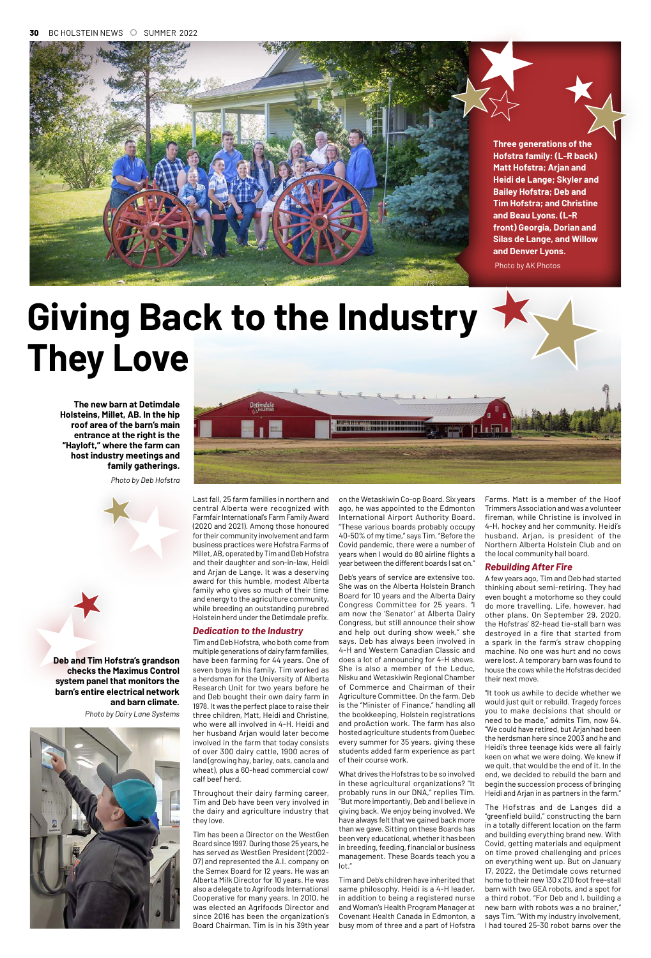Last fall, 25 farm families in northern and central Alberta were recognized with Farmfair International's Farm Family Award (2020 and 2021). Among those honoured for their community involvement and farm business practices were Hofstra Farms of Millet, AB, operated by Tim and Deb Hofstra and their daughter and son-in-law, Heidi and Arjan de Lange. It was a deserving award for this humble, modest Alberta family who gives so much of their time and energy to the agriculture community, while breeding an outstanding purebred Holstein herd under the Detimdale prefix.

#### *Dedication to the Industry*

Tim and Deb Hofstra, who both come from multiple generations of dairy farm families, have been farming for 44 years. One of seven boys in his family, Tim worked as a herdsman for the University of Alberta Research Unit for two years before he and Deb bought their own dairy farm in 1978. It was the perfect place to raise their three children, Matt, Heidi and Christine, who were all involved in 4-H. Heidi and her husband Arjan would later become involved in the farm that today consists of over 300 dairy cattle, 1900 acres of land (growing hay, barley, oats, canola and wheat), plus a 60-head commercial cow/ calf beef herd.

Throughout their dairy farming career, Tim and Deb have been very involved in the dairy and agriculture industry that they love.

Tim has been a Director on the WestGen Board since 1997. During those 25 years, he has served as WestGen President (2002- 07) and represented the A.I. company on the Semex Board for 12 years. He was an Alberta Milk Director for 10 years. He was also a delegate to Agrifoods International Cooperative for many years. In 2010, he was elected an Agrifoods Director and since 2016 has been the organization's Board Chairman. Tim is in his 39th year

on the Wetaskiwin Co-op Board. Six years ago, he was appointed to the Edmonton International Airport Authority Board. "These various boards probably occupy 40-50% of my time," says Tim. "Before the Covid pandemic, there were a number of years when I would do 80 airline flights a year between the different boards I sat on."

Deb's years of service are extensive too. She was on the Alberta Holstein Branch Board for 10 years and the Alberta Dairy Congress Committee for 25 years. "I am now the 'Senator' at Alberta Dairy Congress, but still announce their show and help out during show week," she says. Deb has always been involved in 4-H and Western Canadian Classic and does a lot of announcing for 4-H shows. She is also a member of the Leduc, Nisku and Wetaskiwin Regional Chamber of Commerce and Chairman of their Agriculture Committee. On the farm, Deb is the "Minister of Finance," handling all the bookkeeping, Holstein registrations and proAction work. The farm has also hosted agriculture students from Quebec

every summer for 35 years, giving these students added farm experience as part of their course work.

What drives the Hofstras to be so involved in these agricultural organizations? "It probably runs in our DNA," replies Tim. "But more importantly, Deb and I believe in giving back. We enjoy being involved. We have always felt that we gained back more than we gave. Sitting on these Boards has been very educational, whether it has been in breeding, feeding, financial or business management. These Boards teach you a lot."

Tim and Deb's children have inherited that same philosophy. Heidi is a 4-H leader, in addition to being a registered nurse and Woman's Health Program Manager at Covenant Health Canada in Edmonton, a busy mom of three and a part of Hofstra

Farms. Matt is a member of the Hoof Trimmers Association and was a volunteer fireman, while Christine is involved in 4-H, hockey and her community. Heidi's husband, Arjan, is president of the Northern Alberta Holstein Club and on the local community hall board.

### *Rebuilding After Fire*

A few years ago, Tim and Deb had started thinking about semi-retiring. They had even bought a motorhome so they could do more travelling. Life, however, had other plans. On September 29, 2020, the Hofstras' 82-head tie-stall barn was destroyed in a fire that started from a spark in the farm's straw chopping machine. No one was hurt and no cows were lost. A temporary barn was found to house the cows while the Hofstras decided their next move.

"It took us awhile to decide whether we would just quit or rebuild. Tragedy forces you to make decisions that should or need to be made," admits Tim, now 64. "We could have retired, but Arjan had been the herdsman here since 2003 and he and Heidi's three teenage kids were all fairly keen on what we were doing. We knew if we quit, that would be the end of it. In the end, we decided to rebuild the barn and begin the succession process of bringing Heidi and Arjan in as partners in the farm."



The Hofstras and de Langes did a "greenfield build," constructing the barn in a totally different location on the farm and building everything brand new. With Covid, getting materials and equipment on time proved challenging and prices on everything went up. But on January 17, 2022, the Detimdale cows returned home to their new 130 x 210 foot free-stall barn with two GEA robots, and a spot for a third robot. "For Deb and I, building a new barn with robots was a no brainer," says Tim. "With my industry involvement, I had toured 25-30 robot barns over the



**Three generations of the Hofstra family: (L-R back) Matt Hofstra; Arjan and Heidi de Lange; Skyler and Bailey Hofstra; Deb and Tim Hofstra; and Christine and Beau Lyons. (L-R front) Georgia, Dorian and Silas de Lange, and Willow and Denver Lyons.**



Photo by AK Photos

**family gatherings.**

*Photo by Deb Hofstra*

**Deb and Tim Hofstra's grandson checks the Maximus Control system panel that monitors the barn's entire electrical network and barn climate.**

*Photo by Dairy Lane Systems*